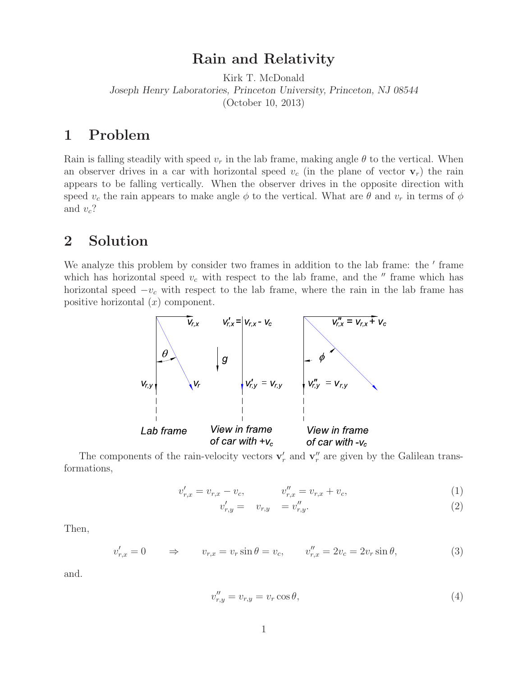## **Rain and Relativity**

Kirk T. McDonald *Joseph Henry Laboratories, Princeton University, Princeton, NJ 08544* (October 10, 2013)

## **1 Problem**

Rain is falling steadily with speed  $v_r$  in the lab frame, making angle  $\theta$  to the vertical. When an observer drives in a car with horizontal speed  $v_c$  (in the plane of vector  $\mathbf{v}_r$ ) the rain appears to be falling vertically. When the observer drives in the opposite direction with speed  $v_c$  the rain appears to make angle  $\phi$  to the vertical. What are  $\theta$  and  $v_r$  in terms of  $\phi$ and v*c*?

## **2 Solution**

We analyze this problem by consider two frames in addition to the lab frame: the ' frame which has horizontal speed  $v_c$  with respect to the lab frame, and the  $''$  frame which has horizontal speed −v*<sup>c</sup>* with respect to the lab frame, where the rain in the lab frame has positive horizontal  $(x)$  component.



The components of the rain-velocity vectors  $\mathbf{v}'_r$  and  $\mathbf{v}''_r$  are given by the Galilean transformations,

$$
v'_{r,x} = v_{r,x} - v_c, \qquad v''_{r,x} = v_{r,x} + v_c, \tag{1}
$$

$$
v'_{r,y} = v'_{r,y} = v''_{r,y}.
$$
\n(2)

Then,

$$
v'_{r,x} = 0 \qquad \Rightarrow \qquad v_{r,x} = v_r \sin \theta = v_c, \qquad v''_{r,x} = 2v_c = 2v_r \sin \theta,
$$
\n
$$
(3)
$$

and.

$$
v_{r,y}'' = v_{r,y} = v_r \cos \theta,\tag{4}
$$